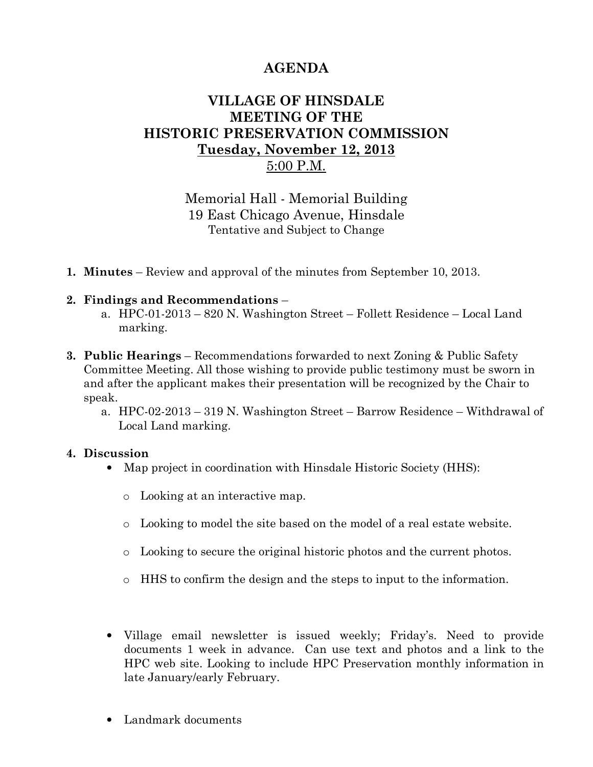# AGENDA

## VILLAGE OF HINSDALE MEETING OF THE HISTORIC PRESERVATION COMMISSION Tuesday, November 12, 2013 5:00 P.M.

Memorial Hall - Memorial Building 19 East Chicago Avenue, Hinsdale Tentative and Subject to Change

1. Minutes – Review and approval of the minutes from September 10, 2013.

#### 2. Findings and Recommendations –

- a. HPC-01-2013 820 N. Washington Street Follett Residence Local Land marking.
- 3. Public Hearings Recommendations forwarded to next Zoning & Public Safety Committee Meeting. All those wishing to provide public testimony must be sworn in and after the applicant makes their presentation will be recognized by the Chair to speak.
	- a. HPC-02-2013 319 N. Washington Street Barrow Residence Withdrawal of Local Land marking.

#### 4. Discussion

- Map project in coordination with Hinsdale Historic Society (HHS):
	- o Looking at an interactive map.
	- o Looking to model the site based on the model of a real estate website.
	- o Looking to secure the original historic photos and the current photos.
	- o HHS to confirm the design and the steps to input to the information.
- Village email newsletter is issued weekly; Friday's. Need to provide documents 1 week in advance. Can use text and photos and a link to the HPC web site. Looking to include HPC Preservation monthly information in late January/early February.
- Landmark documents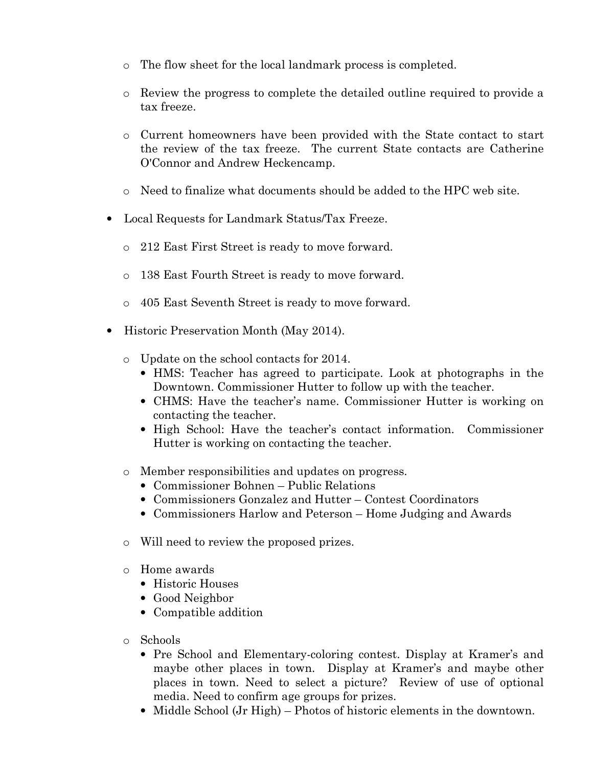- o The flow sheet for the local landmark process is completed.
- o Review the progress to complete the detailed outline required to provide a tax freeze.
- o Current homeowners have been provided with the State contact to start the review of the tax freeze. The current State contacts are Catherine O'Connor and Andrew Heckencamp.
- o Need to finalize what documents should be added to the HPC web site.
- Local Requests for Landmark Status/Tax Freeze.
	- o 212 East First Street is ready to move forward.
	- o 138 East Fourth Street is ready to move forward.
	- o 405 East Seventh Street is ready to move forward.
- Historic Preservation Month (May 2014).
	- o Update on the school contacts for 2014.
		- HMS: Teacher has agreed to participate. Look at photographs in the Downtown. Commissioner Hutter to follow up with the teacher.
		- CHMS: Have the teacher's name. Commissioner Hutter is working on contacting the teacher.
		- High School: Have the teacher's contact information. Commissioner Hutter is working on contacting the teacher.
	- o Member responsibilities and updates on progress.
		- Commissioner Bohnen Public Relations
		- Commissioners Gonzalez and Hutter Contest Coordinators
		- Commissioners Harlow and Peterson Home Judging and Awards
	- o Will need to review the proposed prizes.
	- o Home awards
		- Historic Houses
		- Good Neighbor
		- Compatible addition
	- o Schools
		- Pre School and Elementary-coloring contest. Display at Kramer's and maybe other places in town. Display at Kramer's and maybe other places in town. Need to select a picture? Review of use of optional media. Need to confirm age groups for prizes.
		- Middle School (Jr High) Photos of historic elements in the downtown.